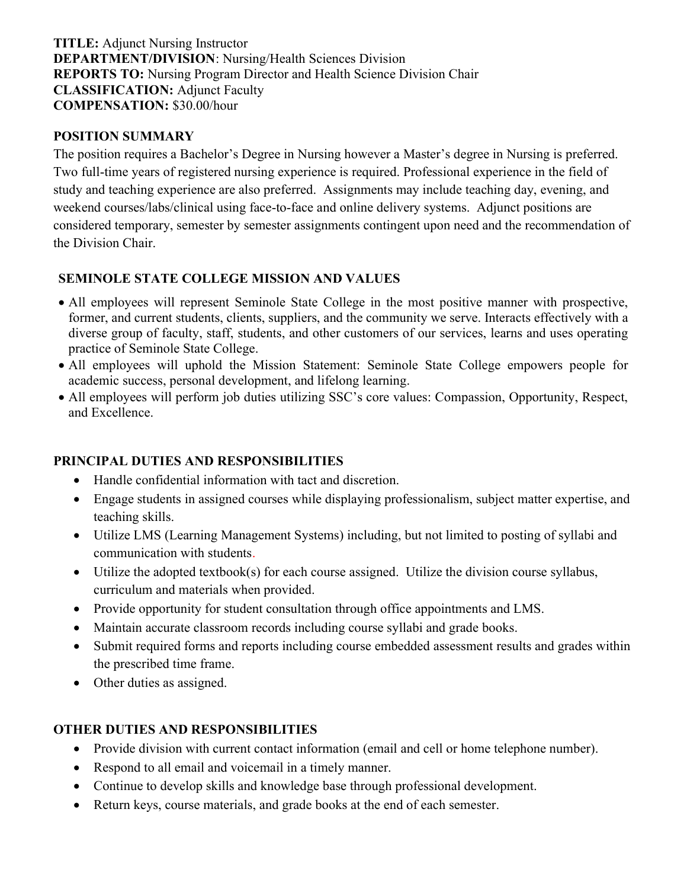TITLE: Adjunct Nursing Instructor DEPARTMENT/DIVISION: Nursing/Health Sciences Division REPORTS TO: Nursing Program Director and Health Science Division Chair CLASSIFICATION: Adjunct Faculty COMPENSATION: \$30.00/hour

#### POSITION SUMMARY

The position requires a Bachelor's Degree in Nursing however a Master's degree in Nursing is preferred. Two full-time years of registered nursing experience is required. Professional experience in the field of study and teaching experience are also preferred. Assignments may include teaching day, evening, and weekend courses/labs/clinical using face-to-face and online delivery systems. Adjunct positions are considered temporary, semester by semester assignments contingent upon need and the recommendation of the Division Chair.

# SEMINOLE STATE COLLEGE MISSION AND VALUES

- All employees will represent Seminole State College in the most positive manner with prospective, former, and current students, clients, suppliers, and the community we serve. Interacts effectively with a diverse group of faculty, staff, students, and other customers of our services, learns and uses operating practice of Seminole State College.
- All employees will uphold the Mission Statement: Seminole State College empowers people for academic success, personal development, and lifelong learning.
- All employees will perform job duties utilizing SSC's core values: Compassion, Opportunity, Respect, and Excellence.

# PRINCIPAL DUTIES AND RESPONSIBILITIES

- Handle confidential information with tact and discretion.
- Engage students in assigned courses while displaying professionalism, subject matter expertise, and teaching skills.
- Utilize LMS (Learning Management Systems) including, but not limited to posting of syllabi and communication with students.
- Utilize the adopted textbook(s) for each course assigned. Utilize the division course syllabus, curriculum and materials when provided.
- Provide opportunity for student consultation through office appointments and LMS.
- Maintain accurate classroom records including course syllabi and grade books.
- Submit required forms and reports including course embedded assessment results and grades within the prescribed time frame.
- Other duties as assigned.

# OTHER DUTIES AND RESPONSIBILITIES

- Provide division with current contact information (email and cell or home telephone number).
- Respond to all email and voicemail in a timely manner.
- Continue to develop skills and knowledge base through professional development.
- Return keys, course materials, and grade books at the end of each semester.